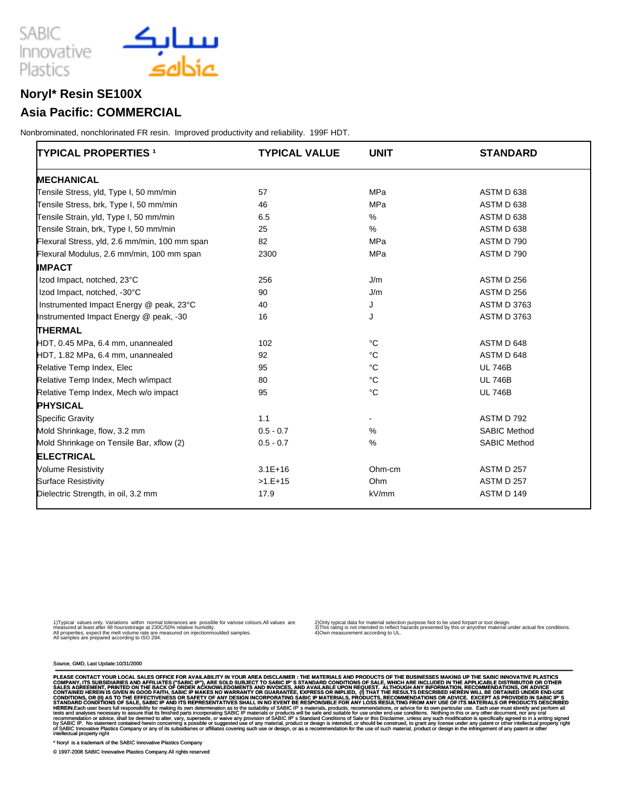

### **Noryl\* Resin SE100X**

#### **Asia Pacific: COMMERCIAL**

Nonbrominated, nonchlorinated FR resin. Improved productivity and reliability. 199F HDT.

| <b>TYPICAL PROPERTIES 1</b>                   | <b>TYPICAL VALUE</b> | <b>UNIT</b> | <b>STANDARD</b>     |
|-----------------------------------------------|----------------------|-------------|---------------------|
| <b>MECHANICAL</b>                             |                      |             |                     |
| Tensile Stress, yld, Type I, 50 mm/min        | 57                   | MPa         | ASTM D 638          |
| Tensile Stress, brk, Type I, 50 mm/min        | 46                   | MPa         | ASTM D 638          |
| Tensile Strain, yld, Type I, 50 mm/min        | 6.5                  | %           | ASTM D 638          |
| Tensile Strain, brk, Type I, 50 mm/min        | 25                   | %           | ASTM D 638          |
| Flexural Stress, yld, 2.6 mm/min, 100 mm span | 82                   | MPa         | ASTM D 790          |
| Flexural Modulus, 2.6 mm/min, 100 mm span     | 2300                 | MPa         | ASTM D 790          |
| <b>IMPACT</b>                                 |                      |             |                     |
| Izod Impact, notched, 23°C                    | 256                  | J/m         | ASTM D 256          |
| Izod Impact, notched, -30°C                   | 90                   | J/m         | ASTM D 256          |
| Instrumented Impact Energy @ peak, 23°C       | 40                   | J           | <b>ASTM D 3763</b>  |
| Instrumented Impact Energy @ peak, -30        | 16                   | J           | <b>ASTM D 3763</b>  |
| <b>THERMAL</b>                                |                      |             |                     |
| HDT, 0.45 MPa, 6.4 mm, unannealed             | 102                  | $^{\circ}C$ | ASTM D 648          |
| HDT, 1.82 MPa, 6.4 mm, unannealed             | 92                   | $^{\circ}C$ | ASTM D 648          |
| Relative Temp Index, Elec                     | 95                   | $^{\circ}C$ | <b>UL 746B</b>      |
| Relative Temp Index, Mech w/impact            | 80                   | °C          | <b>UL 746B</b>      |
| Relative Temp Index, Mech w/o impact          | 95                   | $^{\circ}C$ | <b>UL 746B</b>      |
| <b>PHYSICAL</b>                               |                      |             |                     |
| <b>Specific Gravity</b>                       | 1.1                  |             | ASTM D 792          |
| Mold Shrinkage, flow, 3.2 mm                  | $0.5 - 0.7$          | %           | <b>SABIC Method</b> |
| Mold Shrinkage on Tensile Bar, xflow (2)      | $0.5 - 0.7$          | %           | <b>SABIC Method</b> |
| <b>ELECTRICAL</b>                             |                      |             |                     |
| <b>Volume Resistivity</b>                     | $3.1E + 16$          | Ohm-cm      | <b>ASTM D 257</b>   |
| <b>Surface Resistivity</b>                    | $>1.E+15$            | Ohm         | <b>ASTM D 257</b>   |
| Dielectric Strength, in oil, 3.2 mm           | 17.9                 | kV/mm       | ASTM D 149          |

1) Typical values only. Variations within normal tolerances are possible for variose colours.All values are<br>measured at least after 48 hours storage at 230C/50% relative humidity.<br>All samples are prepared according to ISO

2) Only typical data for material selection purpose.Not to be used for part or tool design.<br>3) This rating is not intended to reflect hazards presented by this or any other material under actual fire conditions.<br>4) Own me

Source, GMD, Last Update:10/31/2000

PLEASE CONTACT YOUR LOCAL SALES OFFICE FOR AVAILABILITY IN YOUR AREA DISCLAIMER : THE MATERIALS SAND PRODUCTS OF THE BUSINESSES OR MAYING UP THE APPLICABLE DISTRIBUTOR OR OTHER ACCONTANY. THE SANDARILE PAST AND AFFILIATES

\* Noryl is a trademark of the SABIC Innovative Plastics Company

© 1997-2008 SABIC Innovative Plastics Company.All rights reserved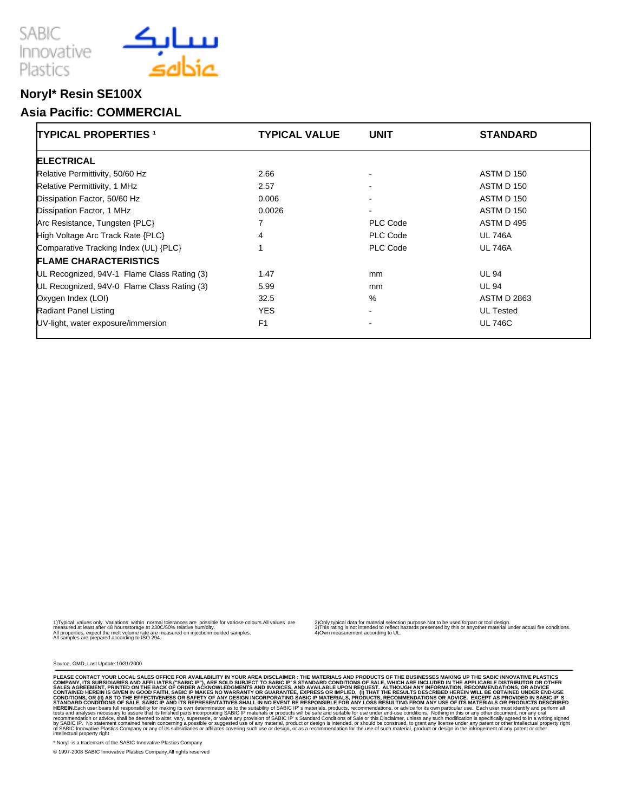



## **Noryl\* Resin SE100X**

#### **Asia Pacific: COMMERCIAL**

| <b>TYPICAL PROPERTIES 1</b>                 | <b>TYPICAL VALUE</b> | <b>UNIT</b>    | <b>STANDARD</b>    |
|---------------------------------------------|----------------------|----------------|--------------------|
| <b>ELECTRICAL</b>                           |                      |                |                    |
| Relative Permittivity, 50/60 Hz             | 2.66                 | ٠              | ASTM D 150         |
| Relative Permittivity, 1 MHz                | 2.57                 |                | ASTM D 150         |
| Dissipation Factor, 50/60 Hz                | 0.006                | $\sim$         | ASTM D 150         |
| Dissipation Factor, 1 MHz                   | 0.0026               | ٠              | ASTM D 150         |
| Arc Resistance, Tungsten {PLC}              | 7                    | PLC Code       | ASTM D 495         |
| High Voltage Arc Track Rate {PLC}           | 4                    | PLC Code       | <b>UL 746A</b>     |
| Comparative Tracking Index (UL) {PLC}       |                      | PLC Code       | <b>UL 746A</b>     |
| <b>FLAME CHARACTERISTICS</b>                |                      |                |                    |
| UL Recognized, 94V-1 Flame Class Rating (3) | 1.47                 | mm             | <b>UL 94</b>       |
| UL Recognized, 94V-0 Flame Class Rating (3) | 5.99                 | mm             | <b>UL 94</b>       |
| Oxygen Index (LOI)                          | 32.5                 | %              | <b>ASTM D 2863</b> |
| <b>Radiant Panel Listing</b>                | <b>YES</b>           | $\blacksquare$ | <b>UL Tested</b>   |
| UV-light, water exposure/immersion          | F <sub>1</sub>       | $\blacksquare$ | <b>UL 746C</b>     |

1) Typical values only. Variations within normal tolerances are possible for variose colours.All values are<br>measured at least after 48 hours storage at 230C/50% relative humidity.<br>All samples are prepared according to ISO

2) Only typical data for material selection purpose.Not to be used for part or tool design.<br>3) This rating is not intended to reflect hazards presented by this or any other material under actual fire conditions.<br>4) Own me

Source, GMD, Last Update:10/31/2000

PLEASE CONTACT YOUR LOCAL SALES OFFICE FOR AVAILABILITY IN YOUR AREA DISCLAIMER : THE MATERIALS SONTOUTS OF THE BUSINESSES OR WHICH ARE INCLUDED IN THE APPLICABLE DISTRIBUTOR OR OTHER CONDITIONS OF SALES. WHICH ARE INCLUDE

\* Noryl is a trademark of the SABIC Innovative Plastics Company

© 1997-2008 SABIC Innovative Plastics Company.All rights reserved